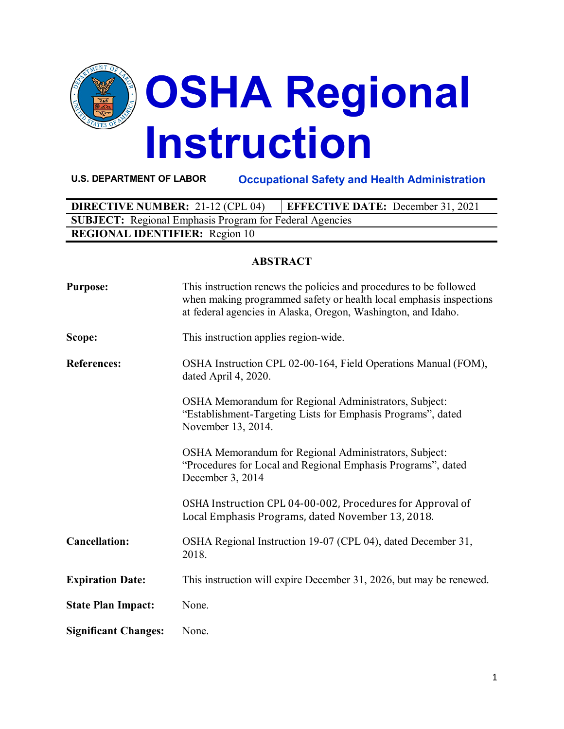

**U.S. DEPARTMENT OF LABOR Occupational Safety and Health Administration**

| <b>DIRECTIVE NUMBER: 21-12 (CPL 04)</b>                        | <b>EFFECTIVE DATE:</b> December 31, 2021 |  |  |
|----------------------------------------------------------------|------------------------------------------|--|--|
| <b>SUBJECT:</b> Regional Emphasis Program for Federal Agencies |                                          |  |  |
| <b>REGIONAL IDENTIFIER:</b> Region 10                          |                                          |  |  |

#### **ABSTRACT**

| <b>Purpose:</b>             | This instruction renews the policies and procedures to be followed<br>when making programmed safety or health local emphasis inspections<br>at federal agencies in Alaska, Oregon, Washington, and Idaho. |
|-----------------------------|-----------------------------------------------------------------------------------------------------------------------------------------------------------------------------------------------------------|
| Scope:                      | This instruction applies region-wide.                                                                                                                                                                     |
| <b>References:</b>          | OSHA Instruction CPL 02-00-164, Field Operations Manual (FOM),<br>dated April 4, 2020.                                                                                                                    |
|                             | OSHA Memorandum for Regional Administrators, Subject:<br>"Establishment-Targeting Lists for Emphasis Programs", dated<br>November 13, 2014.                                                               |
|                             | OSHA Memorandum for Regional Administrators, Subject:<br>"Procedures for Local and Regional Emphasis Programs", dated<br>December 3, 2014                                                                 |
|                             | OSHA Instruction CPL 04-00-002, Procedures for Approval of<br>Local Emphasis Programs, dated November 13, 2018.                                                                                           |
| <b>Cancellation:</b>        | OSHA Regional Instruction 19-07 (CPL 04), dated December 31,<br>2018.                                                                                                                                     |
| <b>Expiration Date:</b>     | This instruction will expire December 31, 2026, but may be renewed.                                                                                                                                       |
| <b>State Plan Impact:</b>   | None.                                                                                                                                                                                                     |
| <b>Significant Changes:</b> | None.                                                                                                                                                                                                     |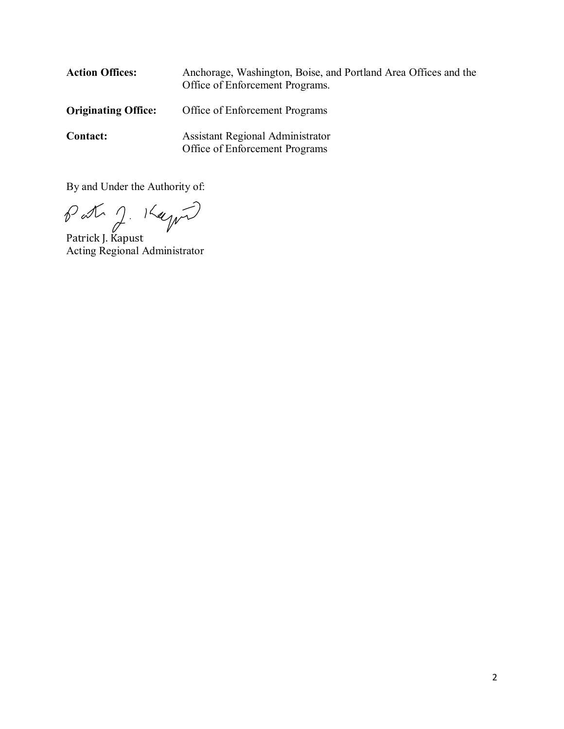| <b>Action Offices:</b>     | Anchorage, Washington, Boise, and Portland Area Offices and the<br>Office of Enforcement Programs. |
|----------------------------|----------------------------------------------------------------------------------------------------|
| <b>Originating Office:</b> | Office of Enforcement Programs                                                                     |
| <b>Contact:</b>            | Assistant Regional Administrator<br>Office of Enforcement Programs                                 |

By and Under the Authority of:

Patrick J. Kapust

Acting Regional Administrator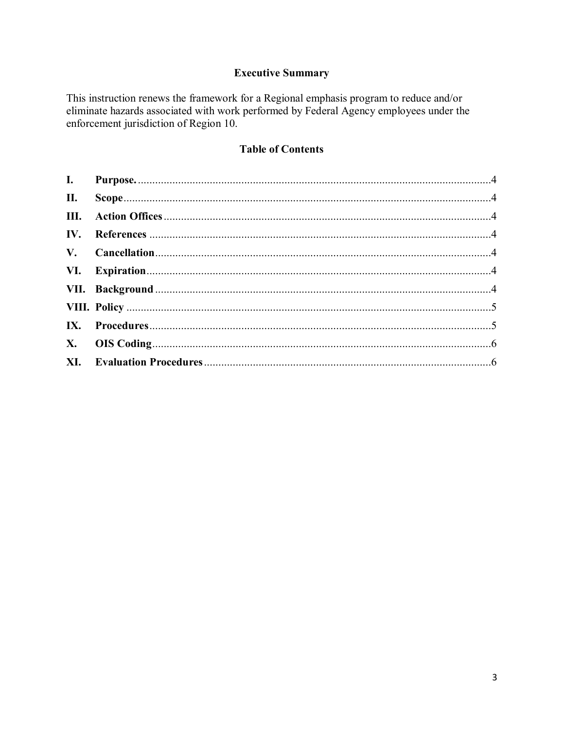# **Executive Summary**

This instruction renews the framework for a Regional emphasis program to reduce and/or eliminate hazards associated with work performed by Federal Agency employees under the enforcement jurisdiction of Region 10.

# **Table of Contents**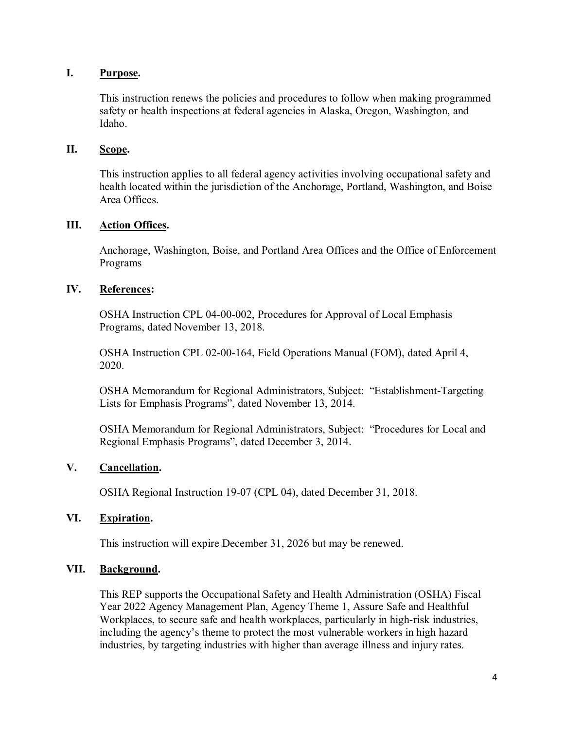## <span id="page-3-0"></span>**I. Purpose.**

This instruction renews the policies and procedures to follow when making programmed safety or health inspections at federal agencies in Alaska, Oregon, Washington, and Idaho.

## <span id="page-3-1"></span>**II. Scope.**

This instruction applies to all federal agency activities involving occupational safety and health located within the jurisdiction of the Anchorage, Portland, Washington, and Boise Area Offices.

## <span id="page-3-2"></span>**III. Action Offices.**

Anchorage, Washington, Boise, and Portland Area Offices and the Office of Enforcement Programs

## <span id="page-3-3"></span>**IV. References:**

OSHA Instruction CPL 04-00-002, Procedures for Approval of Local Emphasis Programs, dated November 13, 2018.

OSHA Instruction CPL 02-00-164, Field Operations Manual (FOM), dated April 4, 2020.

OSHA Memorandum for Regional Administrators, Subject: "Establishment-Targeting Lists for Emphasis Programs", dated November 13, 2014.

OSHA Memorandum for Regional Administrators, Subject: "Procedures for Local and Regional Emphasis Programs", dated December 3, 2014.

# <span id="page-3-4"></span>**V. Cancellation.**

OSHA Regional Instruction 19-07 (CPL 04), dated December 31, 2018.

#### <span id="page-3-5"></span>**VI. Expiration.**

This instruction will expire December 31, 2026 but may be renewed.

#### <span id="page-3-6"></span>**VII. Background.**

This REP supports the Occupational Safety and Health Administration (OSHA) Fiscal Year 2022 Agency Management Plan, Agency Theme 1, Assure Safe and Healthful Workplaces, to secure safe and health workplaces, particularly in high-risk industries, including the agency's theme to protect the most vulnerable workers in high hazard industries, by targeting industries with higher than average illness and injury rates.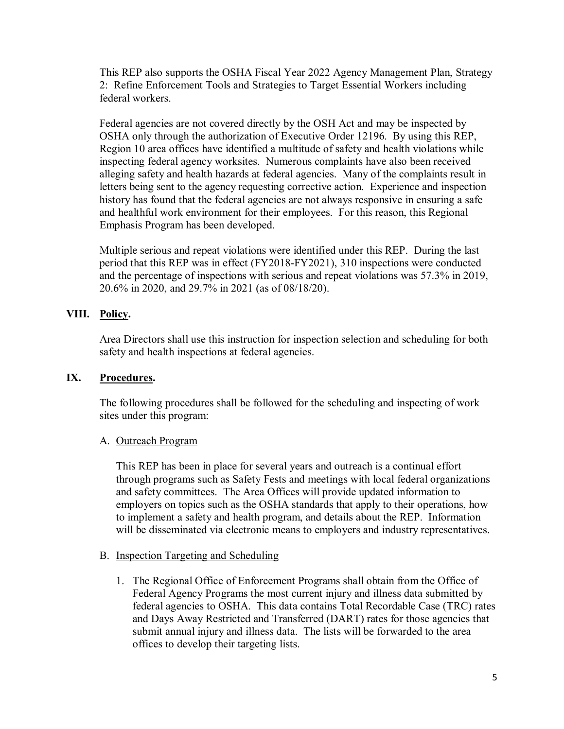This REP also supports the OSHA Fiscal Year 2022 Agency Management Plan, Strategy 2: Refine Enforcement Tools and Strategies to Target Essential Workers including federal workers.

Federal agencies are not covered directly by the OSH Act and may be inspected by OSHA only through the authorization of Executive Order 12196. By using this REP, Region 10 area offices have identified a multitude of safety and health violations while inspecting federal agency worksites. Numerous complaints have also been received alleging safety and health hazards at federal agencies. Many of the complaints result in letters being sent to the agency requesting corrective action. Experience and inspection history has found that the federal agencies are not always responsive in ensuring a safe and healthful work environment for their employees. For this reason, this Regional Emphasis Program has been developed.

Multiple serious and repeat violations were identified under this REP. During the last period that this REP was in effect (FY2018-FY2021), 310 inspections were conducted and the percentage of inspections with serious and repeat violations was 57.3% in 2019, 20.6% in 2020, and 29.7% in 2021 (as of 08/18/20).

# <span id="page-4-0"></span>**VIII. Policy.**

Area Directors shall use this instruction for inspection selection and scheduling for both safety and health inspections at federal agencies.

# <span id="page-4-1"></span>**IX. Procedures.**

The following procedures shall be followed for the scheduling and inspecting of work sites under this program:

# A. Outreach Program

This REP has been in place for several years and outreach is a continual effort through programs such as Safety Fests and meetings with local federal organizations and safety committees. The Area Offices will provide updated information to employers on topics such as the OSHA standards that apply to their operations, how to implement a safety and health program, and details about the REP. Information will be disseminated via electronic means to employers and industry representatives.

# B. Inspection Targeting and Scheduling

1. The Regional Office of Enforcement Programs shall obtain from the Office of Federal Agency Programs the most current injury and illness data submitted by federal agencies to OSHA. This data contains Total Recordable Case (TRC) rates and Days Away Restricted and Transferred (DART) rates for those agencies that submit annual injury and illness data. The lists will be forwarded to the area offices to develop their targeting lists.